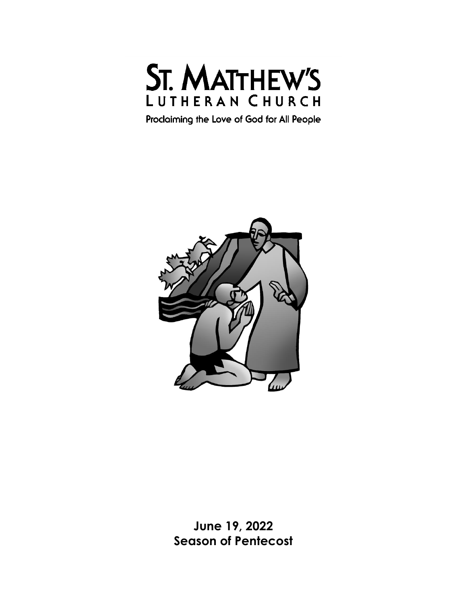

Proclaiming the Love of God for All People



**June 19, 2022 Season of Pentecost**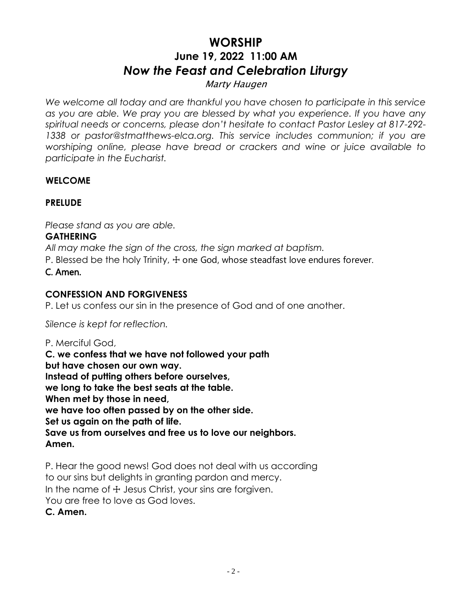# **WORSHIP June 19, 2022 11:00 AM** *Now the Feast and Celebration Liturgy*

# Marty Haugen

*We welcome all today and are thankful you have chosen to participate in this service as you are able. We pray you are blessed by what you experience. If you have any spiritual needs or concerns, please don't hesitate to contact Pastor Lesley at 817-292- 1338 or pastor@stmatthews-elca.org. This service includes communion; if you are worshiping online, please have bread or crackers and wine or juice available to participate in the Eucharist.* 

# **WELCOME**

# **PRELUDE**

*Please stand as you are able.*

## **GATHERING**

*All may make the sign of the cross, the sign marked at baptism.*

P. Blessed be the holy Trinity,  $\pm$  one God, whose steadfast love endures forever.

C. Amen.

# **CONFESSION AND FORGIVENESS**

P. Let us confess our sin in the presence of God and of one another.

*Silence is kept for reflection.*

P. Merciful God, **C. we confess that we have not followed your path but have chosen our own way. Instead of putting others before ourselves, we long to take the best seats at the table. When met by those in need, we have too often passed by on the other side. Set us again on the path of life. Save us from ourselves and free us to love our neighbors. Amen.**

P. Hear the good news! God does not deal with us according to our sins but delights in granting pardon and mercy. In the name of  $+$  Jesus Christ, your sins are forgiven. You are free to love as God loves. **C. Amen.**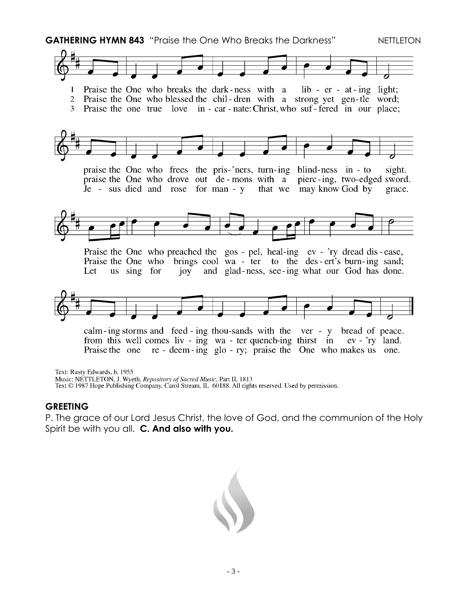**GATHERING HYMN 843** "Praise the One Who Breaks the Darkness" NETTLETON Praise the One who breaks the dark-ness with a  $lib - er - at - ing light;$  $\mathbf{1}$ 2 Praise the One who blessed the chil-dren with a strong yet gen-tle word; 3 Praise the one true love in - car - nate: Christ, who suf - fered in our place; praise the One who frees the pris-'ners, turn-ing blind-ness in - to sight. praise the One who drove out de-mons with a pierc-ing, two-edged sword.  $\overline{J}$ e - sus died and rose for man - y that we may know God by grace. Praise the One who preached the gos - pel, heal-ing ev - 'ry dread dis-ease, Praise the One who brings cool wa - ter to the des-ert's burn-ing sand; and glad-ness, see-ing what our God has done. Let us sing for joy calm-ing storms and feed-ing thou-sands with the ver-y bread of peace. from this well comes liv - ing wa - ter quench-ing thirst in  $ev - *ry*$  land.

Text: Rusty Edwards, b. 1955

Music: NETTLETON, J. Wyeth, Repository of Sacred Music, Part II, 1813

Text © 1987 Hope Publishing Company, Carol Stream, IL 60188. All rights reserved. Used by permission.

#### **GREETING**

P. The grace of our Lord Jesus Christ, the love of God, and the communion of the Holy Spirit be with you all. **C. And also with you.**

Praise the one re - deem - ing glo - ry; praise the One who makes us one.

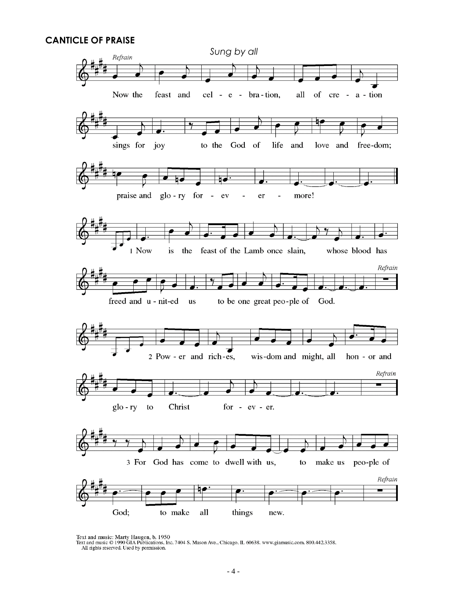#### **CANTICLE OF PRAISE**



Text and music: Marty Haugen, b. 1950<br>Text and music © 1990 GIA Publications, Inc. 7404 S. Mason Ave., Chicago, IL 60638. www.giamusic.com. 800.442.3358.<br>All rights reserved. Used by permission.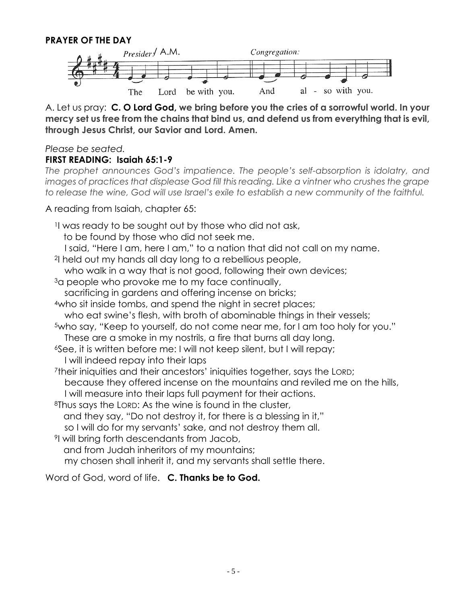#### **PRAYER OF THE DAY**



A. Let us pray: **C. O Lord God, we bring before you the cries of a sorrowful world. In your mercy set us free from the chains that bind us, and defend us from everything that is evil, through Jesus Christ, our Savior and Lord. Amen.**

#### *Please be seated.*

#### **FIRST READING: Isaiah 65:1-9**

*The prophet announces God's impatience. The people's self-absorption is idolatry, and images of practices that displease God fill this reading. Like a vintner who crushes the grape to release the wine, God will use Israel's exile to establish a new community of the faithful.*

A reading from Isaiah, chapter 65:

<sup>1</sup>I was ready to be sought out by those who did not ask, to be found by those who did not seek me.

I said, "Here I am, here I am," to a nation that did not call on my name.

<sup>2</sup>I held out my hands all day long to a rebellious people,

who walk in a way that is not good, following their own devices;

<sup>3</sup>a people who provoke me to my face continually,

sacrificing in gardens and offering incense on bricks;

<sup>4</sup>who sit inside tombs, and spend the night in secret places;

who eat swine's flesh, with broth of abominable things in their vessels;

- <sup>5</sup>who say, "Keep to yourself, do not come near me, for I am too holy for you." These are a smoke in my nostrils, a fire that burns all day long.
- <sup>6</sup>See, it is written before me: I will not keep silent, but I will repay; I will indeed repay into their laps

<sup>7</sup>their iniquities and their ancestors' iniquities together, says the LORD; because they offered incense on the mountains and reviled me on the hills,

I will measure into their laps full payment for their actions.

<sup>8</sup>Thus says the LORD: As the wine is found in the cluster,

and they say, "Do not destroy it, for there is a blessing in it,"

so I will do for my servants' sake, and not destroy them all.

<sup>9</sup>I will bring forth descendants from Jacob,

and from Judah inheritors of my mountains;

my chosen shall inherit it, and my servants shall settle there.

Word of God, word of life. **C. Thanks be to God.**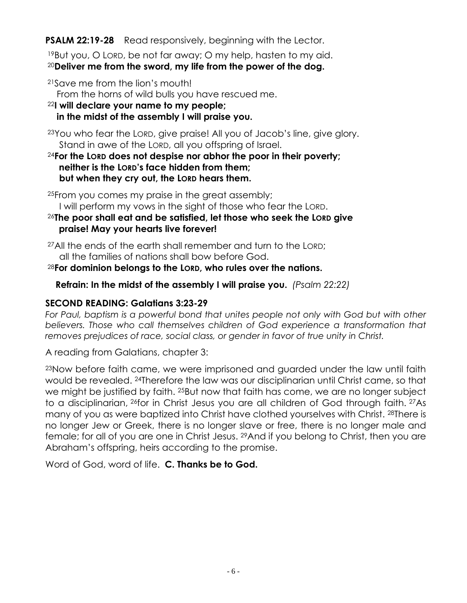**PSALM 22:19-28** Read responsively, beginning with the Lector.

<sup>19</sup>But you, O LORD, be not far away; O my help, hasten to my aid. <sup>20</sup>**Deliver me from the sword, my life from the power of the dog.**

<sup>21</sup>Save me from the lion's mouth!

From the horns of wild bulls you have rescued me.

<sup>22</sup>**I will declare your name to my people;**

**in the midst of the assembly I will praise you.**

<sup>23</sup>You who fear the LORD, give praise! All you of Jacob's line, give glory. Stand in awe of the LORD, all you offspring of Israel.

<sup>24</sup>**For the LORD does not despise nor abhor the poor in their poverty; neither is the LORD's face hidden from them; but when they cry out, the LORD hears them.**

<sup>25</sup>From you comes my praise in the great assembly;

I will perform my vows in the sight of those who fear the LORD.

<sup>26</sup>**The poor shall eat and be satisfied, let those who seek the LORD give praise! May your hearts live forever!**

<sup>27</sup>All the ends of the earth shall remember and turn to the LORD; all the families of nations shall bow before God.

<sup>28</sup>**For dominion belongs to the LORD, who rules over the nations.**

 **Refrain: In the midst of the assembly I will praise you.** *(Psalm 22:22)*

# **SECOND READING: Galatians 3:23-29**

For Paul, baptism is a powerful bond that unites people not only with God but with other *believers. Those who call themselves children of God experience a transformation that removes prejudices of race, social class, or gender in favor of true unity in Christ.*

A reading from Galatians, chapter 3:

<sup>23</sup>Now before faith came, we were imprisoned and guarded under the law until faith would be revealed. <sup>24</sup>Therefore the law was our disciplinarian until Christ came, so that we might be justified by faith. <sup>25</sup>But now that faith has come, we are no longer subject to a disciplinarian, <sup>26</sup>for in Christ Jesus you are all children of God through faith. <sup>27</sup>As many of you as were baptized into Christ have clothed yourselves with Christ. <sup>28</sup>There is no longer Jew or Greek, there is no longer slave or free, there is no longer male and female; for all of you are one in Christ Jesus. <sup>29</sup> And if you belong to Christ, then you are Abraham's offspring, heirs according to the promise.

Word of God, word of life. **C. Thanks be to God.**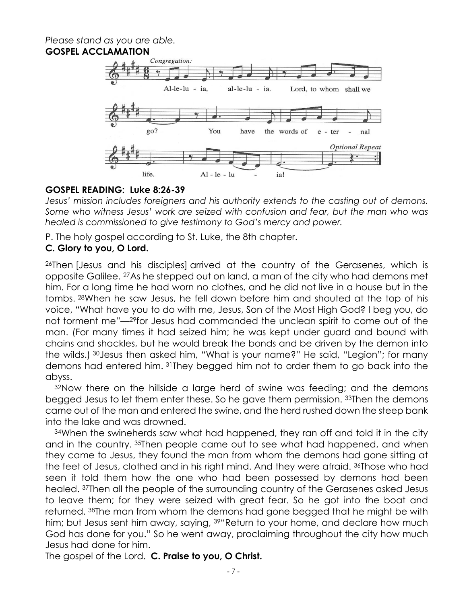#### *Please stand as you are able.* **GOSPEL ACCLAMATION**



## **GOSPEL READING: Luke 8:26-39**

*Jesus' mission includes foreigners and his authority extends to the casting out of demons. Some who witness Jesus' work are seized with confusion and fear, but the man who was healed is commissioned to give testimony to God's mercy and power.*

P. The holy gospel according to St. Luke, the 8th chapter.

#### **C. Glory to you, O Lord.**

<sup>26</sup>Then [Jesus and his disciples] arrived at the country of the Gerasenes, which is opposite Galilee. <sup>27</sup>As he stepped out on land, a man of the city who had demons met him. For a long time he had worn no clothes, and he did not live in a house but in the tombs. <sup>28</sup>When he saw Jesus, he fell down before him and shouted at the top of his voice, "What have you to do with me, Jesus, Son of the Most High God? I beg you, do not torment me"—29for Jesus had commanded the unclean spirit to come out of the man. (For many times it had seized him; he was kept under guard and bound with chains and shackles, but he would break the bonds and be driven by the demon into the wilds.) <sup>30</sup>Jesus then asked him, "What is your name?" He said, "Legion"; for many demons had entered him. <sup>31</sup>They begged him not to order them to go back into the abyss.

<sup>32</sup>Now there on the hillside a large herd of swine was feeding; and the demons begged Jesus to let them enter these. So he gave them permission. <sup>33</sup>Then the demons came out of the man and entered the swine, and the herd rushed down the steep bank into the lake and was drowned.

<sup>34</sup>When the swineherds saw what had happened, they ran off and told it in the city and in the country. <sup>35</sup>Then people came out to see what had happened, and when they came to Jesus, they found the man from whom the demons had gone sitting at the feet of Jesus, clothed and in his right mind. And they were afraid. <sup>36</sup>Those who had seen it told them how the one who had been possessed by demons had been healed. <sup>37</sup>Then all the people of the surrounding country of the Gerasenes asked Jesus to leave them; for they were seized with great fear. So he got into the boat and returned. <sup>38</sup>The man from whom the demons had gone begged that he might be with him; but Jesus sent him away, saying, <sup>39"</sup>Return to your home, and declare how much God has done for you." So he went away, proclaiming throughout the city how much Jesus had done for him.

The gospel of the Lord. **C. Praise to you, O Christ.**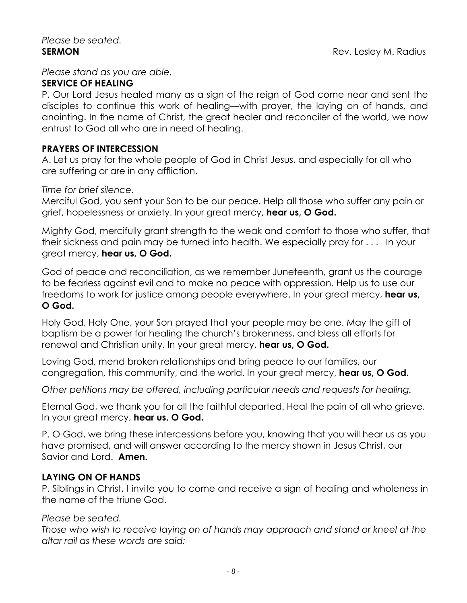## *Please stand as you are able.*

#### **SERVICE OF HEALING**

P. Our Lord Jesus healed many as a sign of the reign of God come near and sent the disciples to continue this work of healing—with prayer, the laying on of hands, and anointing. In the name of Christ, the great healer and reconciler of the world, we now entrust to God all who are in need of healing.

## **PRAYERS OF INTERCESSION**

A. Let us pray for the whole people of God in Christ Jesus, and especially for all who are suffering or are in any affliction.

#### *Time for brief silence.*

Merciful God, you sent your Son to be our peace. Help all those who suffer any pain or grief, hopelessness or anxiety. In your great mercy, **hear us, O God.**

Mighty God, mercifully grant strength to the weak and comfort to those who suffer, that their sickness and pain may be turned into health. We especially pray for . . . In your great mercy, **hear us, O God.**

God of peace and reconciliation, as we remember Juneteenth, grant us the courage to be fearless against evil and to make no peace with oppression. Help us to use our freedoms to work for justice among people everywhere. In your great mercy, **hear us, O God.**

Holy God, Holy One, your Son prayed that your people may be one. May the gift of baptism be a power for healing the church's brokenness, and bless all efforts for renewal and Christian unity. In your great mercy, **hear us, O God.**

Loving God, mend broken relationships and bring peace to our families, our congregation, this community, and the world. In your great mercy, **hear us, O God.**

*Other petitions may be offered, including particular needs and requests for healing.*

Eternal God, we thank you for all the faithful departed. Heal the pain of all who grieve. In your great mercy, **hear us, O God.**

P. O God, we bring these intercessions before you, knowing that you will hear us as you have promised, and will answer according to the mercy shown in Jesus Christ, our Savior and Lord. **Amen.**

## **LAYING ON OF HANDS**

P. Siblings in Christ, I invite you to come and receive a sign of healing and wholeness in the name of the triune God.

#### *Please be seated.*

*Those who wish to receive laying on of hands may approach and stand or kneel at the altar rail as these words are said:*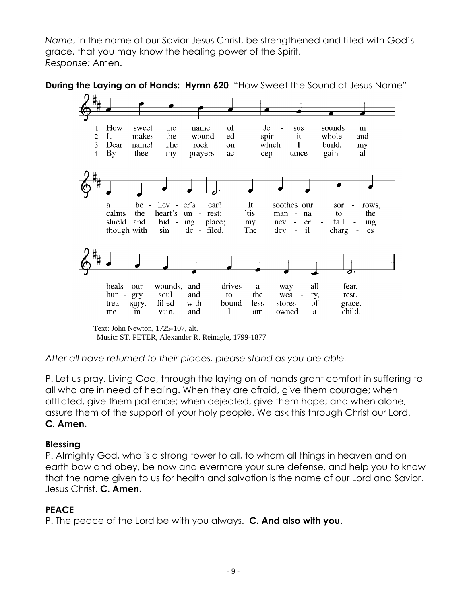*Name*, in the name of our Savior Jesus Christ, be strengthened and filled with God's grace, that you may know the healing power of the Spirit. *Response:* Amen.





Text: John Newton, 1725-107, alt. Music: ST. PETER, Alexander R. Reinagle, 1799-1877

*After all have returned to their places, please stand as you are able.*

P. Let us pray. Living God, through the laying on of hands grant comfort in suffering to all who are in need of healing. When they are afraid, give them courage; when afflicted, give them patience; when dejected, give them hope; and when alone, assure them of the support of your holy people. We ask this through Christ our Lord. **C. Amen.**

## **Blessing**

P. Almighty God, who is a strong tower to all, to whom all things in heaven and on earth bow and obey, be now and evermore your sure defense, and help you to know that the name given to us for health and salvation is the name of our Lord and Savior, Jesus Christ. **C. Amen.**

# **PEACE**

P. The peace of the Lord be with you always. **C. And also with you.**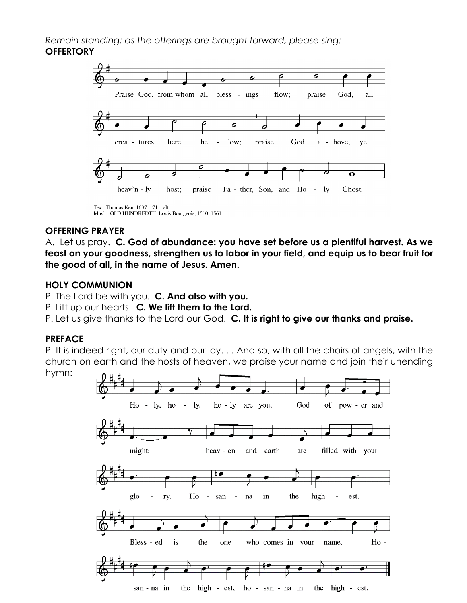*Remain standing; as the offerings are brought forward, please sing:* **OFFERTORY**



#### **OFFERING PRAYER**

A. Let us pray. **C. God of abundance: you have set before us a plentiful harvest. As we feast on your goodness, strengthen us to labor in your field, and equip us to bear fruit for the good of all, in the name of Jesus. Amen.**

#### **HOLY COMMUNION**

P. The Lord be with you. **C. And also with you.**

P. Lift up our hearts. **C. We lift them to the Lord.**

P. Let us give thanks to the Lord our God. **C. It is right to give our thanks and praise.**

#### **PREFACE**

P. It is indeed right, our duty and our joy. . . And so, with all the choirs of angels, with the church on earth and the hosts of heaven, we praise your name and join their unending hymn:

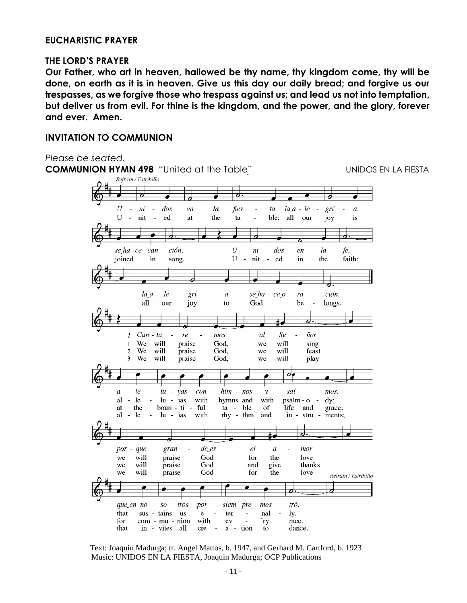#### **EUCHARISTIC PRAYER**

#### **THE LORD'S PRAYER**

**Our Father, who art in heaven, hallowed be thy name, thy kingdom come, thy will be done, on earth as it is in heaven. Give us this day our daily bread; and forgive us our trespasses, as we forgive those who trespass against us; and lead us not into temptation, but deliver us from evil. For thine is the kingdom, and the power, and the glory, forever and ever. Amen.**

#### **INVITATION TO COMMUNION**





Text: Joaquin Madurga; tr. Angel Mattos, b. 1947, and Gerhard M. Cartford, b. 1923 Music: UNIDOS EN LA FIESTA, Joaquin Madurga; OCP Publications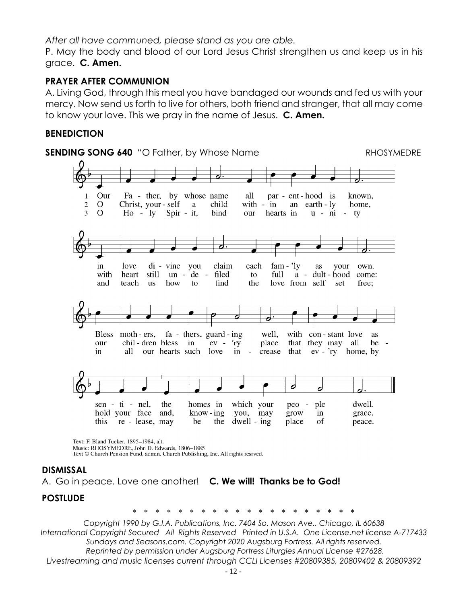*After all have communed, please stand as you are able.*

P. May the body and blood of our Lord Jesus Christ strengthen us and keep us in his grace. **C. Amen.**

# **PRAYER AFTER COMMUNION**

A. Living God, through this meal you have bandaged our wounds and fed us with your mercy. Now send us forth to live for others, both friend and stranger, that all may come to know your love. This we pray in the name of Jesus. **C. Amen.**

## **BENEDICTION**



Music: RHOSYMEDRE, John D. Edwards, 1806-1885 Text © Church Pension Fund, admin. Church Publishing, Inc. All rights resrved.

#### **DISMISSAL**

A. Go in peace. Love one another! **C. We will! Thanks be to God!**

#### **POSTLUDE**

 *\* \* \* \* \* \* \* \* \* \* \* \* \* \* \* \* \* \* \* \** 

*Copyright 1990 by G.I.A. Publications, Inc. 7404 So. Mason Ave., Chicago, IL 60638 International Copyright Secured All Rights Reserved Printed in U.S.A. One License.net license A-717433 Sundays and Seasons.com. Copyright 2020 Augsburg Fortress. All rights reserved. Reprinted by permission under Augsburg Fortress Liturgies Annual License #27628. Livestreaming and music licenses current through CCLI Licenses #20809385, 20809402 & 20809392*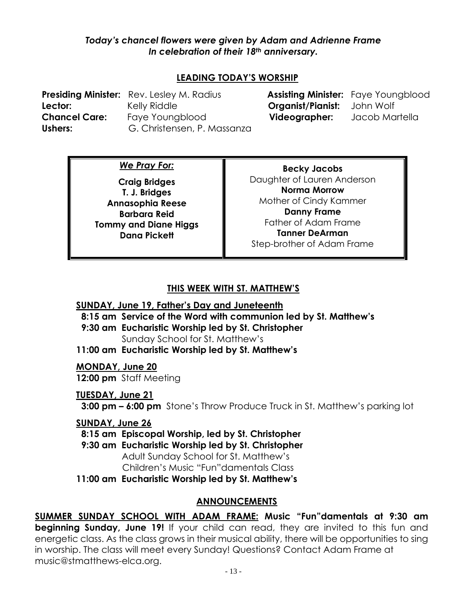## *Today's chancel flowers were given by Adam and Adrienne Frame In celebration of their 18th anniversary.*

# **LEADING TODAY'S WORSHIP**

**Lector:** Kelly Riddle **Organist/Pianist:** John Wolf **Chancel Care:** Faye Youngblood **Videographer:** Jacob Martella Ushers: G. Christensen, P. Massanza

**Presiding Minister:** Rev. Lesley M. Radius **Assisting Minister:** Faye Youngblood

*We Pray For:*

**Craig Bridges T. J. Bridges Annasophia Reese Barbara Reid Tommy and Diane Higgs Dana Pickett**

**Becky Jacobs** Daughter of Lauren Anderson **Norma Morrow** Mother of Cindy Kammer **Danny Frame** Father of Adam Frame **Tanner DeArman** Step-brother of Adam Frame

# **THIS WEEK WITH ST. MATTHEW'S**

## **SUNDAY, June 19, Father's Day and Juneteenth**

 **8:15 am Service of the Word with communion led by St. Matthew's**

 **9:30 am Eucharistic Worship led by St. Christopher** Sunday School for St. Matthew's

**11:00 am Eucharistic Worship led by St. Matthew's**

## **MONDAY, June 20**

**12:00 pm** Staff Meeting

## **TUESDAY, June 21**

 **3:00 pm – 6:00 pm** Stone's Throw Produce Truck in St. Matthew's parking lot

## **SUNDAY, June 26**

 **8:15 am Episcopal Worship, led by St. Christopher**

 **9:30 am Eucharistic Worship led by St. Christopher** Adult Sunday School for St. Matthew's Children's Music "Fun"damentals Class

**11:00 am Eucharistic Worship led by St. Matthew's**

# **ANNOUNCEMENTS**

**SUMMER SUNDAY SCHOOL WITH ADAM FRAME: Music "Fun"damentals at 9:30 am beginning Sunday, June 19!** If your child can read, they are invited to this fun and energetic class. As the class grows in their musical ability, there will be opportunities to sing in worship. The class will meet every Sunday! Questions? Contact Adam Frame at [music@stmatthews-elca.org.](mailto:music@stmatthews-elca.org)